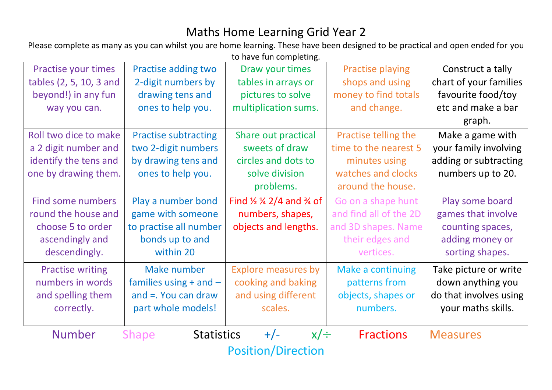## Maths Home Learning Grid Year 2

Please complete as many as you can whilst you are home learning. These have been designed to be practical and open ended for you to have fun completing.

| Practise your times       | Practise adding two               | Draw your times                                           | <b>Practise playing</b>  | Construct a tally      |  |  |
|---------------------------|-----------------------------------|-----------------------------------------------------------|--------------------------|------------------------|--|--|
| tables (2, 5, 10, 3 and   | 2-digit numbers by                | tables in arrays or                                       | shops and using          | chart of your families |  |  |
| beyond!) in any fun       | drawing tens and                  | pictures to solve                                         | money to find totals     | favourite food/toy     |  |  |
| way you can.              | ones to help you.                 | multiplication sums.                                      | and change.              | etc and make a bar     |  |  |
|                           |                                   |                                                           |                          | graph.                 |  |  |
| Roll two dice to make     | <b>Practise subtracting</b>       | Share out practical                                       | Practise telling the     | Make a game with       |  |  |
| a 2 digit number and      | two 2-digit numbers               | sweets of draw                                            | time to the nearest 5    | your family involving  |  |  |
| identify the tens and     | by drawing tens and               | circles and dots to                                       | minutes using            | adding or subtracting  |  |  |
| one by drawing them.      | ones to help you.                 | solve division                                            | watches and clocks       | numbers up to 20.      |  |  |
|                           |                                   | problems.                                                 | around the house.        |                        |  |  |
| <b>Find some numbers</b>  | Play a number bond                | Find $\frac{1}{2}$ $\frac{1}{4}$ 2/4 and $\frac{3}{4}$ of | Go on a shape hunt       | Play some board        |  |  |
| round the house and       | game with someone                 | numbers, shapes,                                          | and find all of the 2D   | games that involve     |  |  |
| choose 5 to order         | to practise all number            | objects and lengths.                                      | and 3D shapes. Name      | counting spaces,       |  |  |
| ascendingly and           | bonds up to and                   |                                                           | their edges and          | adding money or        |  |  |
| descendingly.             | within 20                         |                                                           | vertices.                | sorting shapes.        |  |  |
| <b>Practise writing</b>   | Make number                       | <b>Explore measures by</b>                                | <b>Make a continuing</b> | Take picture or write  |  |  |
| numbers in words          | families using $+$ and $-$        | cooking and baking                                        | patterns from            | down anything you      |  |  |
| and spelling them         | and $=$ . You can draw            | and using different                                       | objects, shapes or       | do that involves using |  |  |
| correctly.                | part whole models!                | scales.                                                   | numbers.                 | your maths skills.     |  |  |
|                           |                                   |                                                           |                          |                        |  |  |
| <b>Number</b>             | <b>Statistics</b><br><b>Shape</b> | $+/-$<br>$x/\div$                                         | <b>Fractions</b>         | <b>Measures</b>        |  |  |
| <b>Position/Direction</b> |                                   |                                                           |                          |                        |  |  |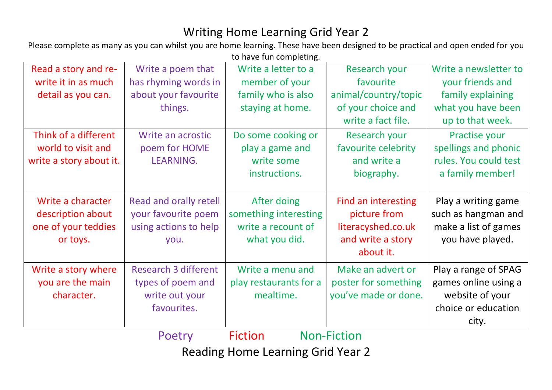## Writing Home Learning Grid Year 2

Please complete as many as you can whilst you are home learning. These have been designed to be practical and open ended for you to have fun completing.

| Read a story and re-    | Write a poem that           | Write a letter to a    | Research your              | Write a newsletter to |
|-------------------------|-----------------------------|------------------------|----------------------------|-----------------------|
| write it in as much     | has rhyming words in        | member of your         | favourite                  | your friends and      |
| detail as you can.      | about your favourite        | family who is also     | animal/country/topic       | family explaining     |
|                         | things.                     | staying at home.       | of your choice and         | what you have been    |
|                         |                             |                        | write a fact file.         | up to that week.      |
| Think of a different    | Write an acrostic           | Do some cooking or     | Research your              | Practise your         |
| world to visit and      | poem for HOME               | play a game and        | favourite celebrity        | spellings and phonic  |
| write a story about it. | LEARNING.                   | write some             | and write a                | rules. You could test |
|                         |                             | instructions.          | biography.                 | a family member!      |
|                         |                             |                        |                            |                       |
| Write a character       | Read and orally retell      | After doing            | <b>Find an interesting</b> | Play a writing game   |
| description about       | your favourite poem         | something interesting  | picture from               | such as hangman and   |
| one of your teddies     | using actions to help       | write a recount of     | literacyshed.co.uk         | make a list of games  |
| or toys.                | you.                        | what you did.          | and write a story          | you have played.      |
|                         |                             |                        | about it.                  |                       |
| Write a story where     | <b>Research 3 different</b> | Write a menu and       | Make an advert or          | Play a range of SPAG  |
| you are the main        | types of poem and           | play restaurants for a | poster for something       | games online using a  |
| character.              | write out your              | mealtime.              | you've made or done.       | website of your       |
|                         | favourites.                 |                        |                            | choice or education   |
|                         |                             |                        |                            | city.                 |
|                         | Poetry                      | <b>Fiction</b>         | <b>Non-Fiction</b>         |                       |

Reading Home Learning Grid Year 2